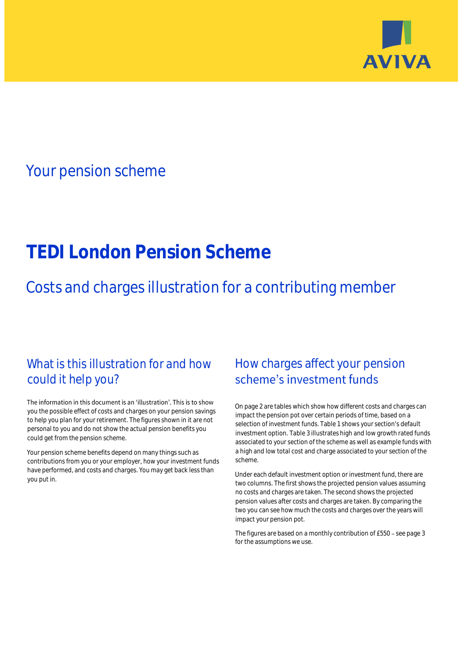

## Your pension scheme

# **TEDI London Pension Scheme**

Costs and charges illustration for a contributing member

### What is this illustration for and how could it help you?

#### The information in this document is an 'illustration'. This is to show you the possible effect of costs and charges on your pension savings to help you plan for your retirement. The figures shown in it are not personal to you and do not show the actual pension benefits you could get from the pension scheme.

Your pension scheme benefits depend on many things such as contributions from you or your employer, how your investment funds have performed, and costs and charges. You may get back less than you put in.

### How charges affect your pension scheme's investment funds

On page 2 are tables which show how different costs and charges can impact the pension pot over certain periods of time, based on a selection of investment funds. Table 1 shows your section's default investment option. Table 3 illustrates high and low growth rated funds associated to your section of the scheme as well as example funds with a high and low total cost and charge associated to your section of the scheme.

Under each default investment option or investment fund, there are two columns. The first shows the projected pension values assuming no costs and charges are taken. The second shows the projected pension values after costs and charges are taken. By comparing the two you can see how much the costs and charges over the years will impact your pension pot.

The figures are based on a monthly contribution of £550 - see page 3 for the assumptions we use.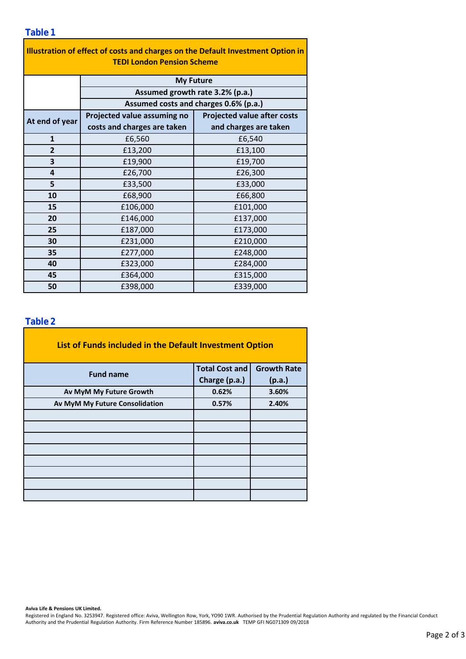| Illustration of effect of costs and charges on the Default Investment Option in<br><b>TEDI London Pension Scheme</b> |                                       |                                    |  |  |  |  |  |  |  |
|----------------------------------------------------------------------------------------------------------------------|---------------------------------------|------------------------------------|--|--|--|--|--|--|--|
|                                                                                                                      |                                       |                                    |  |  |  |  |  |  |  |
|                                                                                                                      | <b>My Future</b>                      |                                    |  |  |  |  |  |  |  |
|                                                                                                                      | Assumed growth rate 3.2% (p.a.)       |                                    |  |  |  |  |  |  |  |
|                                                                                                                      | Assumed costs and charges 0.6% (p.a.) |                                    |  |  |  |  |  |  |  |
| At end of year                                                                                                       | Projected value assuming no           | <b>Projected value after costs</b> |  |  |  |  |  |  |  |
|                                                                                                                      | costs and charges are taken           | and charges are taken              |  |  |  |  |  |  |  |
| $\mathbf{1}$                                                                                                         | £6,560                                | £6,540                             |  |  |  |  |  |  |  |
| $\overline{2}$                                                                                                       | £13,200                               | £13,100                            |  |  |  |  |  |  |  |
| 3                                                                                                                    | £19,900                               | £19,700                            |  |  |  |  |  |  |  |
| 4                                                                                                                    | £26,700                               | £26,300                            |  |  |  |  |  |  |  |
| 5                                                                                                                    | £33,500                               | £33,000                            |  |  |  |  |  |  |  |
| 10                                                                                                                   | £68,900                               | £66,800                            |  |  |  |  |  |  |  |
| 15                                                                                                                   | £106,000                              | £101,000                           |  |  |  |  |  |  |  |
| 20                                                                                                                   | £146,000                              | £137,000                           |  |  |  |  |  |  |  |
| 25                                                                                                                   | £187,000                              | £173,000                           |  |  |  |  |  |  |  |
| 30                                                                                                                   | £231,000                              | £210,000                           |  |  |  |  |  |  |  |
| 35                                                                                                                   | £277,000                              | £248,000                           |  |  |  |  |  |  |  |
| 40                                                                                                                   | £323,000                              | £284,000                           |  |  |  |  |  |  |  |
| 45                                                                                                                   | £364,000                              | £315,000                           |  |  |  |  |  |  |  |
| 50                                                                                                                   | £398,000                              | £339,000                           |  |  |  |  |  |  |  |

### **Table 2**

| List of Funds included in the Default Investment Option |                       |                    |
|---------------------------------------------------------|-----------------------|--------------------|
| <b>Fund name</b>                                        | <b>Total Cost and</b> | <b>Growth Rate</b> |
|                                                         | Charge (p.a.)         | (p.a.)             |
| Av MyM My Future Growth                                 | 0.62%                 | 3.60%              |
| Av MyM My Future Consolidation                          | 0.57%                 | 2.40%              |
|                                                         |                       |                    |
|                                                         |                       |                    |
|                                                         |                       |                    |
|                                                         |                       |                    |
|                                                         |                       |                    |
|                                                         |                       |                    |
|                                                         |                       |                    |
|                                                         |                       |                    |

#### **Aviva Life & Pensions UK Limited.**

Registered in England No. 3253947. Registered office: Aviva, Wellington Row, York, YO90 1WR. Authorised by the Prudential Regulation Authority and regulated by the Financial Conduct Authority and the Prudential Regulation Authority. Firm Reference Number 185896. **aviva.co.uk** TEMP GFI NG071309 09/2018